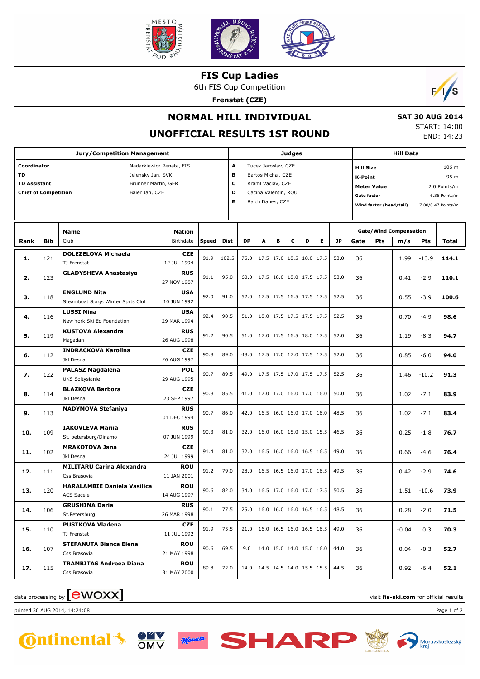

**FIS Cup Ladies**

6th FIS Cup Competition

**Frenstat (CZE)**



 **SAT 30 AUG 2014** START: 14:00

## **NORMAL HILL INDIVIDUAL**

**UNOFFICIAL** 

|      |             |                          | . RESULTS 1ST ROUND |   |                      |   |                          |                  |      |                    |                               |       |            | END: 14:23         |  |  |  |  |
|------|-------------|--------------------------|---------------------|---|----------------------|---|--------------------------|------------------|------|--------------------|-------------------------------|-------|------------|--------------------|--|--|--|--|
|      |             | <b>Judges</b>            |                     |   |                      |   |                          |                  |      |                    | <b>Hill Data</b>              |       |            |                    |  |  |  |  |
|      |             | Tucek Jaroslav, CZE<br>A |                     |   |                      |   |                          | <b>Hill Size</b> |      |                    |                               | 106 m |            |                    |  |  |  |  |
|      |             | в                        |                     |   | Bartos Michal, CZE   |   |                          |                  |      | K-Point            |                               |       | 95 m       |                    |  |  |  |  |
|      |             | C                        |                     |   | Kraml Vaclav, CZE    |   |                          |                  |      |                    | <b>Meter Value</b>            |       |            | 2.0 Points/m       |  |  |  |  |
|      |             | D                        |                     |   | Cacina Valentin, ROU |   |                          |                  |      | <b>Gate factor</b> |                               |       |            | 6.36 Points/m      |  |  |  |  |
|      |             | Е                        |                     |   | Raich Danes, CZE     |   |                          |                  |      |                    | Wind factor (head/tail)       |       |            | 7.00/8.47 Points/m |  |  |  |  |
|      |             |                          |                     |   |                      |   |                          |                  |      |                    |                               |       |            |                    |  |  |  |  |
|      |             |                          |                     |   |                      |   |                          |                  |      |                    | <b>Gate/Wind Compensation</b> |       |            |                    |  |  |  |  |
| q,   | <b>Dist</b> |                          | <b>DP</b>           | A | в                    | c | D                        | Е                | JP   | Gate               | <b>Pts</b>                    | m/s   | <b>Pts</b> | <b>Total</b>       |  |  |  |  |
|      | 102.5       |                          | 75.0                |   |                      |   | 17.5 17.0 18.5 18.0 17.5 |                  | 53.0 | 36                 |                               | 1.99  | $-13.9$    | 114.1              |  |  |  |  |
|      | 95.0        |                          | 60.0                |   |                      |   | 17.5 18.0 18.0 17.5 17.5 |                  | 53.0 | 36                 |                               | 0.41  | $-2.9$     | 110.1              |  |  |  |  |
|      | 91.0        |                          | 52.0                |   |                      |   | 17.5 17.5 16.5 17.5 17.5 |                  | 52.5 | 36                 |                               | 0.55  | $-3.9$     | 100.6              |  |  |  |  |
|      | 90.5        |                          | 51.0                |   |                      |   | 18.0 17.5 17.5 17.5 17.5 |                  | 52.5 | 36                 |                               | 0.70  | $-4.9$     | 98.6               |  |  |  |  |
| 90.5 |             |                          | 51.0                |   |                      |   | 17.0 17.5 16.5 18.0 17.5 |                  | 52.0 | 36                 |                               | 1.19  | $-8.3$     | 94.7               |  |  |  |  |

| <b>Chief of Competition</b> | Е          | Cacina Valentin, ROU<br>D<br>Raich Danes, CZE            |                            |       |             |           |  |                          | Meter value<br>، ۱۱ / ۱۰ ۱۱ ۱۱ ۱۰ ۱۰ ۱۰ ۱۰ ۱۰<br>6.36 Points/m<br><b>Gate factor</b><br>7.00/8.47 Points/m<br>Wind factor (head/tail) |   |   |           |      |     |                                      |         |              |
|-----------------------------|------------|----------------------------------------------------------|----------------------------|-------|-------------|-----------|--|--------------------------|---------------------------------------------------------------------------------------------------------------------------------------|---|---|-----------|------|-----|--------------------------------------|---------|--------------|
| Rank                        | <b>Bib</b> | <b>Name</b><br>Club                                      | <b>Nation</b><br>Birthdate | Speed | <b>Dist</b> | <b>DP</b> |  | в                        | с                                                                                                                                     | D | Е | <b>JP</b> | Gate | Pts | <b>Gate/Wind Compensation</b><br>m/s | Pts     | <b>Total</b> |
| 1.                          | 121        | <b>DOLEZELOVA Michaela</b><br>TJ Frenstat                | <b>CZE</b><br>12 JUL 1994  | 91.9  | 102.5       | 75.0      |  | 17.5 17.0 18.5 18.0 17.5 |                                                                                                                                       |   |   | 53.0      | 36   |     | 1.99                                 | $-13.9$ | 114.1        |
| 2.                          | 123        | <b>GLADYSHEVA Anastasiya</b>                             | <b>RUS</b><br>27 NOV 1987  | 91.1  | 95.0        | 60.0      |  | 17.5 18.0 18.0 17.5 17.5 |                                                                                                                                       |   |   | 53.0      | 36   |     | 0.41                                 | $-2.9$  | 110.1        |
| 3.                          | 118        | <b>ENGLUND Nita</b><br>Steamboat Sprgs Winter Sprts Clut | <b>USA</b><br>10 JUN 1992  | 92.0  | 91.0        | 52.0      |  | 17.5 17.5 16.5 17.5 17.5 |                                                                                                                                       |   |   | 52.5      | 36   |     | 0.55                                 | $-3.9$  | 100.6        |
| 4.                          | 116        | <b>LUSSI Nina</b><br>New York Ski Ed Foundation          | <b>USA</b><br>29 MAR 1994  | 92.4  | 90.5        | 51.0      |  | 18.0 17.5 17.5 17.5 17.5 |                                                                                                                                       |   |   | 52.5      | 36   |     | 0.70                                 | $-4.9$  | 98.6         |
| 5.                          | 119        | <b>KUSTOVA Alexandra</b><br>Magadan                      | <b>RUS</b><br>26 AUG 1998  | 91.2  | 90.5        | 51.0      |  | 17.0 17.5 16.5 18.0 17.5 |                                                                                                                                       |   |   | 52.0      | 36   |     | 1.19                                 | $-8.3$  | 94.7         |
| 6.                          | 112        | <b>INDRACKOVA Karolina</b><br>Jkl Desna                  | <b>CZE</b><br>26 AUG 1997  | 90.8  | 89.0        | 48.0      |  | 17.5 17.0 17.0 17.5 17.5 |                                                                                                                                       |   |   | 52.0      | 36   |     | 0.85                                 | $-6.0$  | 94.0         |
| 7.                          | 122        | <b>PALASZ Magdalena</b><br><b>UKS Soltysianie</b>        | <b>POL</b><br>29 AUG 1995  | 90.7  | 89.5        | 49.0      |  | 17.5 17.5 17.0 17.5 17.5 |                                                                                                                                       |   |   | 52.5      | 36   |     | 1.46                                 | $-10.2$ | 91.3         |
| 8.                          | 114        | <b>BLAZKOVA Barbora</b><br>Jkl Desna                     | <b>CZE</b><br>23 SEP 1997  | 90.8  | 85.5        | 41.0      |  | 17.0 17.0 16.0 17.0 16.0 |                                                                                                                                       |   |   | 50.0      | 36   |     | 1.02                                 | $-7.1$  | 83.9         |
| 9.                          | 113        | <b>NADYMOVA Stefaniya</b>                                | <b>RUS</b>                 | 90.7  | 86.0        | 42.0      |  | 16.5 16.0 16.0 17.0 16.0 |                                                                                                                                       |   |   | 48.5      | 36   |     | 1.02                                 | $-7.1$  | 83.4         |

**10.** 109 **EXECUTE PRIME 18 100 ROS** 90.3 81.0 32.0 16.0 16.0 15.0 15.0 15.5 46.5 36 0.25 -1.8 **76.7** 

**11.** 102 9.88 102 91.4 81.0 32.0 16.5 16.0 16.0 16.5 16.5 49.0 36 0.66 -4.6 **76.4** 

**12.** 111 91.2 79.0 28.0 16.5 16.5 16.0 17.0 16.5 49.5 36 0.42 -2.9 **74.6**

**13.** 120 90.6 82.0 34.0 16.5 17.0 16.0 17.0 17.5 50.5 36 1.51 -10.6 **73.9**

**14.** 106 **GRUSHINA DATE** 10.28 -2.0 **71.5** 10.1 **77.5** 1.5 1.6.0 1.6.0 1.6.0 1.6.5 1.6.5 1.6.5 1.6.5 1.6.5 1.6.5 1.6.5 1.6.5 1.6.5 1.6.5 1.6.5 1.6.5 1.6.5 1.6.5 1.6.5 1.6.5 1.6.5 1.6.5 1.6.5 1.6.5 1.6.5 1.6.5 1.6.5 1.6.5

**15.**  $\begin{vmatrix} 10 \\ 21.0 \end{vmatrix}$   $\begin{vmatrix} 110 \\ 21.6 \end{vmatrix}$   $\begin{vmatrix} 110 \\ 21.6 \end{vmatrix}$   $\begin{vmatrix} 110 \\ 21.0 \end{vmatrix}$   $\begin{vmatrix} 16.0 \\ 16.0 \end{vmatrix}$   $\begin{vmatrix} 16.0 \\ 16.5 \end{vmatrix}$   $\begin{vmatrix} 16.5 \\ 49.0 \end{vmatrix}$   $\begin{vmatrix} 36 \\ 36 \end{vmatrix}$   $\begin{vmatrix} -0.04 \\ 0.$ 

**16.** 107 **SIEFANUIA BIANCA EIGHA 16. 107 108. 108. 108. 108. 108. 108. 108. 108. 108. 108. 108. 108. 108. 108. 108. 108. 108. 108. 108. 108. 108. 108. 108. 108. 108.**

**17.** 115 **IRAMBITAS Andreea Diana 17.** 12.0 14.0 14.5 14.5 14.5 14.6 15.5 15.5 44.5 36 0.92 -6.4 **52.1** 

**Jury/Competition Management**

**Coordinator Coordinator Nadarkiewicz Renata, FIS TD** Jelensky Jan, SVK **TD Assistant** Brunner Martin, GER

 $\alpha$  data processing by  $\boxed{\text{ewOX}}$ 

**IAKOVLEVA Mariia** St. petersburg/Dinamo

**MRAKOTOVA Jana**

**MILITARU Carina Alexandra**

**HARALAMBIE Daniela Vasilica**

Jkl Desna

Css Brasovia

ACS Sacele

TJ Frenstat

Css Brasovia

Css Brasovia

**GRUSHINA Daria** St.Petersburg

**PUSTKOVA Vladena**

**STEFANUTA Bianca Elena**

**TRAMBITAS Andreea Diana**

printed 30 AUG 2014, 14:24:08 Page 1 of 2





01 DEC 1994

**RUS** 07 JUN 1999

**CZE** 24 JUL 1999

**ROU** 11 JAN 2001

**ROU** 14 AUG 1997

**RUS** 26 MAR 1998

**CZE** 11 JUL 1992

**ROU** 21 MAY 1998

**ROU** 31 MAY 2000